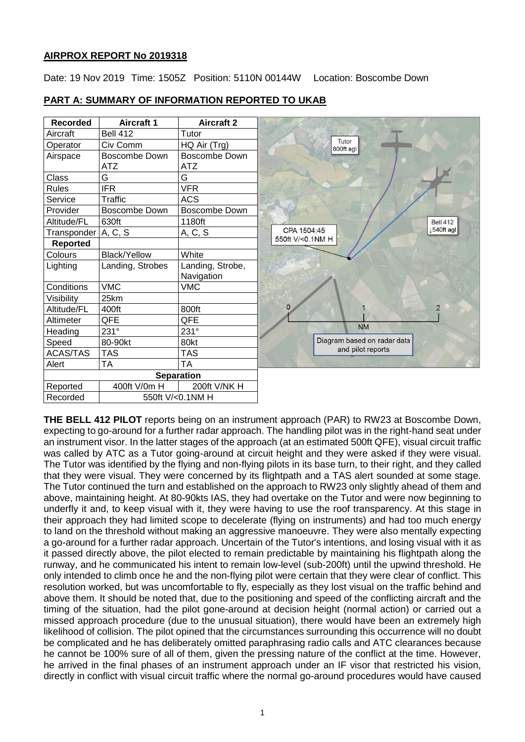# **AIRPROX REPORT No 2019318**

Date: 19 Nov 2019 Time: 1505Z Position: 5110N 00144W Location: Boscombe Down

| <b>Recorded</b>   | <b>Aircraft 1</b>           | <b>Aircraft 2</b>                  |  |
|-------------------|-----------------------------|------------------------------------|--|
| Aircraft          | <b>Bell 412</b>             | Tutor                              |  |
| Operator          | Civ Comm                    | HQ Air (Trg)                       |  |
| Airspace          | Boscombe Down<br><b>ATZ</b> | <b>Boscombe Down</b><br><b>ATZ</b> |  |
| Class             | G                           | G                                  |  |
| <b>Rules</b>      | <b>IFR</b>                  | <b>VFR</b>                         |  |
| Service           | <b>Traffic</b>              | <b>ACS</b>                         |  |
| Provider          | <b>Boscombe Down</b>        | <b>Boscombe Down</b>               |  |
| Altitude/FL       | 630ft                       | 1180ft                             |  |
| Transponder       | A, C, S                     | A, C, S                            |  |
| Reported          |                             |                                    |  |
| Colours           | <b>Black/Yellow</b>         | White                              |  |
| Lighting          | Landing, Strobes            | Landing, Strobe,                   |  |
|                   |                             | Navigation                         |  |
| Conditions        | <b>VMC</b>                  | <b>VMC</b>                         |  |
| Visibility        | 25km                        |                                    |  |
| Altitude/FL       | 400ft                       | 800ft                              |  |
| Altimeter         | QFE                         | QFE                                |  |
| Heading           | 231°                        | 231°                               |  |
| Speed             | 80-90kt                     | 80kt                               |  |
| <b>ACAS/TAS</b>   | <b>TAS</b>                  | <b>TAS</b>                         |  |
| Alert             | <b>TA</b>                   | <b>TA</b>                          |  |
| <b>Separation</b> |                             |                                    |  |
| Reported          | 400ft V/0m H                | 200ft V/NK H                       |  |
| Recorded          |                             | 550ft V/<0.1NM H                   |  |

# **PART A: SUMMARY OF INFORMATION REPORTED TO UKAB**

**THE BELL 412 PILOT** reports being on an instrument approach (PAR) to RW23 at Boscombe Down, expecting to go-around for a further radar approach. The handling pilot was in the right-hand seat under an instrument visor. In the latter stages of the approach (at an estimated 500ft QFE), visual circuit traffic was called by ATC as a Tutor going-around at circuit height and they were asked if they were visual. The Tutor was identified by the flying and non-flying pilots in its base turn, to their right, and they called that they were visual. They were concerned by its flightpath and a TAS alert sounded at some stage. The Tutor continued the turn and established on the approach to RW23 only slightly ahead of them and above, maintaining height. At 80-90kts IAS, they had overtake on the Tutor and were now beginning to underfly it and, to keep visual with it, they were having to use the roof transparency. At this stage in their approach they had limited scope to decelerate (flying on instruments) and had too much energy to land on the threshold without making an aggressive manoeuvre. They were also mentally expecting a go-around for a further radar approach. Uncertain of the Tutor's intentions, and losing visual with it as it passed directly above, the pilot elected to remain predictable by maintaining his flightpath along the runway, and he communicated his intent to remain low-level (sub-200ft) until the upwind threshold. He only intended to climb once he and the non-flying pilot were certain that they were clear of conflict. This resolution worked, but was uncomfortable to fly, especially as they lost visual on the traffic behind and above them. It should be noted that, due to the positioning and speed of the conflicting aircraft and the timing of the situation, had the pilot gone-around at decision height (normal action) or carried out a missed approach procedure (due to the unusual situation), there would have been an extremely high likelihood of collision. The pilot opined that the circumstances surrounding this occurrence will no doubt be complicated and he has deliberately omitted paraphrasing radio calls and ATC clearances because he cannot be 100% sure of all of them, given the pressing nature of the conflict at the time. However, he arrived in the final phases of an instrument approach under an IF visor that restricted his vision, directly in conflict with visual circuit traffic where the normal go-around procedures would have caused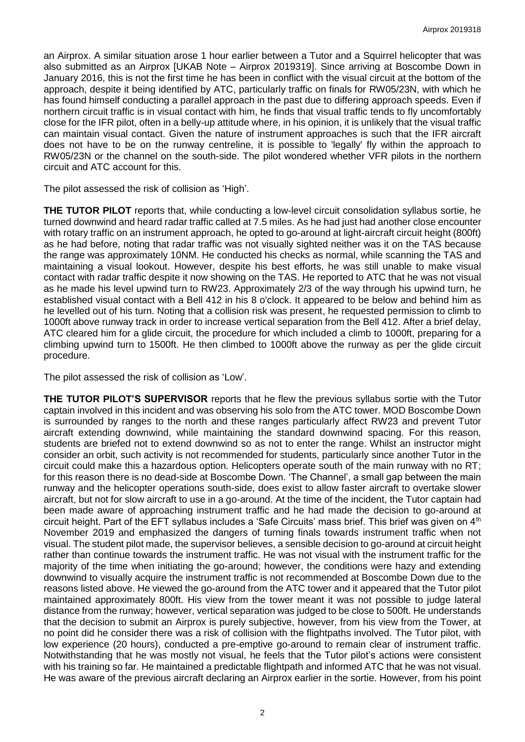an Airprox. A similar situation arose 1 hour earlier between a Tutor and a Squirrel helicopter that was also submitted as an Airprox [UKAB Note – Airprox 2019319]. Since arriving at Boscombe Down in January 2016, this is not the first time he has been in conflict with the visual circuit at the bottom of the approach, despite it being identified by ATC, particularly traffic on finals for RW05/23N, with which he has found himself conducting a parallel approach in the past due to differing approach speeds. Even if northern circuit traffic is in visual contact with him, he finds that visual traffic tends to fly uncomfortably close for the IFR pilot, often in a belly-up attitude where, in his opinion, it is unlikely that the visual traffic can maintain visual contact. Given the nature of instrument approaches is such that the IFR aircraft does not have to be on the runway centreline, it is possible to 'legally' fly within the approach to RW05/23N or the channel on the south-side. The pilot wondered whether VFR pilots in the northern circuit and ATC account for this.

The pilot assessed the risk of collision as 'High'.

**THE TUTOR PILOT** reports that, while conducting a low-level circuit consolidation syllabus sortie, he turned downwind and heard radar traffic called at 7.5 miles. As he had just had another close encounter with rotary traffic on an instrument approach, he opted to go-around at light-aircraft circuit height (800ft) as he had before, noting that radar traffic was not visually sighted neither was it on the TAS because the range was approximately 10NM. He conducted his checks as normal, while scanning the TAS and maintaining a visual lookout. However, despite his best efforts, he was still unable to make visual contact with radar traffic despite it now showing on the TAS. He reported to ATC that he was not visual as he made his level upwind turn to RW23. Approximately 2/3 of the way through his upwind turn, he established visual contact with a Bell 412 in his 8 o'clock. It appeared to be below and behind him as he levelled out of his turn. Noting that a collision risk was present, he requested permission to climb to 1000ft above runway track in order to increase vertical separation from the Bell 412. After a brief delay, ATC cleared him for a glide circuit, the procedure for which included a climb to 1000ft, preparing for a climbing upwind turn to 1500ft. He then climbed to 1000ft above the runway as per the glide circuit procedure.

The pilot assessed the risk of collision as 'Low'.

**THE TUTOR PILOT'S SUPERVISOR** reports that he flew the previous syllabus sortie with the Tutor captain involved in this incident and was observing his solo from the ATC tower. MOD Boscombe Down is surrounded by ranges to the north and these ranges particularly affect RW23 and prevent Tutor aircraft extending downwind, while maintaining the standard downwind spacing. For this reason, students are briefed not to extend downwind so as not to enter the range. Whilst an instructor might consider an orbit, such activity is not recommended for students, particularly since another Tutor in the circuit could make this a hazardous option. Helicopters operate south of the main runway with no RT; for this reason there is no dead-side at Boscombe Down. 'The Channel', a small gap between the main runway and the helicopter operations south-side, does exist to allow faster aircraft to overtake slower aircraft, but not for slow aircraft to use in a go-around. At the time of the incident, the Tutor captain had been made aware of approaching instrument traffic and he had made the decision to go-around at circuit height. Part of the EFT syllabus includes a 'Safe Circuits' mass brief. This brief was given on 4th November 2019 and emphasized the dangers of turning finals towards instrument traffic when not visual. The student pilot made, the supervisor believes, a sensible decision to go-around at circuit height rather than continue towards the instrument traffic. He was not visual with the instrument traffic for the majority of the time when initiating the go-around; however, the conditions were hazy and extending downwind to visually acquire the instrument traffic is not recommended at Boscombe Down due to the reasons listed above. He viewed the go-around from the ATC tower and it appeared that the Tutor pilot maintained approximately 800ft. His view from the tower meant it was not possible to judge lateral distance from the runway; however, vertical separation was judged to be close to 500ft. He understands that the decision to submit an Airprox is purely subjective, however, from his view from the Tower, at no point did he consider there was a risk of collision with the flightpaths involved. The Tutor pilot, with low experience (20 hours), conducted a pre-emptive go-around to remain clear of instrument traffic. Notwithstanding that he was mostly not visual, he feels that the Tutor pilot's actions were consistent with his training so far. He maintained a predictable flightpath and informed ATC that he was not visual. He was aware of the previous aircraft declaring an Airprox earlier in the sortie. However, from his point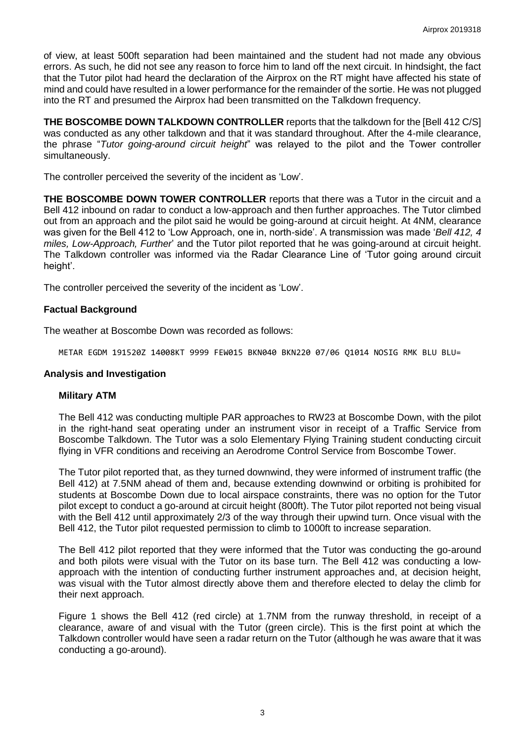of view, at least 500ft separation had been maintained and the student had not made any obvious errors. As such, he did not see any reason to force him to land off the next circuit. In hindsight, the fact that the Tutor pilot had heard the declaration of the Airprox on the RT might have affected his state of mind and could have resulted in a lower performance for the remainder of the sortie. He was not plugged into the RT and presumed the Airprox had been transmitted on the Talkdown frequency.

**THE BOSCOMBE DOWN TALKDOWN CONTROLLER** reports that the talkdown for the [Bell 412 C/S] was conducted as any other talkdown and that it was standard throughout. After the 4-mile clearance, the phrase "*Tutor going-around circuit height*" was relayed to the pilot and the Tower controller simultaneously.

The controller perceived the severity of the incident as 'Low'.

**THE BOSCOMBE DOWN TOWER CONTROLLER** reports that there was a Tutor in the circuit and a Bell 412 inbound on radar to conduct a low-approach and then further approaches. The Tutor climbed out from an approach and the pilot said he would be going-around at circuit height. At 4NM, clearance was given for the Bell 412 to 'Low Approach, one in, north-side'. A transmission was made '*Bell 412, 4 miles, Low-Approach, Further*' and the Tutor pilot reported that he was going-around at circuit height. The Talkdown controller was informed via the Radar Clearance Line of 'Tutor going around circuit height'.

The controller perceived the severity of the incident as 'Low'.

#### **Factual Background**

The weather at Boscombe Down was recorded as follows:

METAR EGDM 191520Z 14008KT 9999 FEW015 BKN040 BKN220 07/06 Q1014 NOSIG RMK BLU BLU=

#### **Analysis and Investigation**

#### **Military ATM**

The Bell 412 was conducting multiple PAR approaches to RW23 at Boscombe Down, with the pilot in the right-hand seat operating under an instrument visor in receipt of a Traffic Service from Boscombe Talkdown. The Tutor was a solo Elementary Flying Training student conducting circuit flying in VFR conditions and receiving an Aerodrome Control Service from Boscombe Tower.

The Tutor pilot reported that, as they turned downwind, they were informed of instrument traffic (the Bell 412) at 7.5NM ahead of them and, because extending downwind or orbiting is prohibited for students at Boscombe Down due to local airspace constraints, there was no option for the Tutor pilot except to conduct a go-around at circuit height (800ft). The Tutor pilot reported not being visual with the Bell 412 until approximately 2/3 of the way through their upwind turn. Once visual with the Bell 412, the Tutor pilot requested permission to climb to 1000ft to increase separation.

The Bell 412 pilot reported that they were informed that the Tutor was conducting the go-around and both pilots were visual with the Tutor on its base turn. The Bell 412 was conducting a lowapproach with the intention of conducting further instrument approaches and, at decision height, was visual with the Tutor almost directly above them and therefore elected to delay the climb for their next approach.

Figure 1 shows the Bell 412 (red circle) at 1.7NM from the runway threshold, in receipt of a clearance, aware of and visual with the Tutor (green circle). This is the first point at which the Talkdown controller would have seen a radar return on the Tutor (although he was aware that it was conducting a go-around).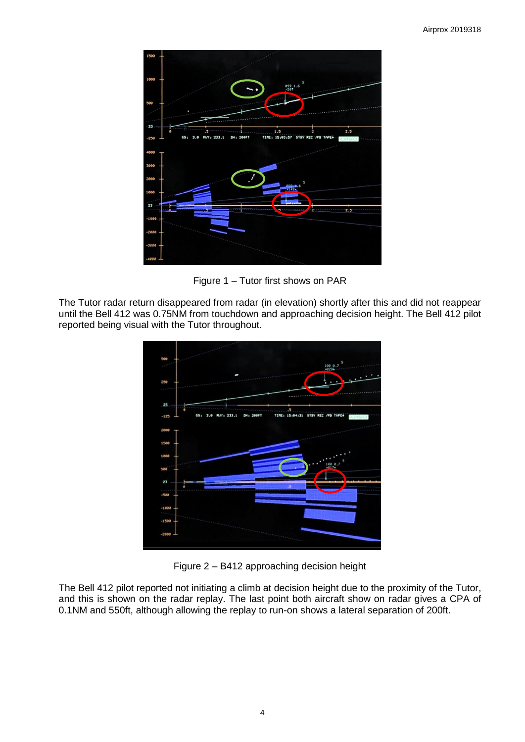

Figure 1 – Tutor first shows on PAR

The Tutor radar return disappeared from radar (in elevation) shortly after this and did not reappear until the Bell 412 was 0.75NM from touchdown and approaching decision height. The Bell 412 pilot reported being visual with the Tutor throughout.



Figure 2 – B412 approaching decision height

The Bell 412 pilot reported not initiating a climb at decision height due to the proximity of the Tutor, and this is shown on the radar replay. The last point both aircraft show on radar gives a CPA of 0.1NM and 550ft, although allowing the replay to run-on shows a lateral separation of 200ft.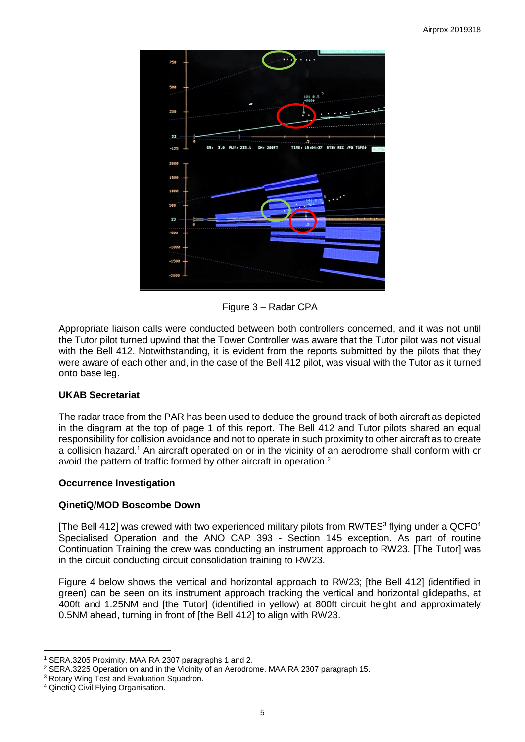

Figure 3 – Radar CPA

Appropriate liaison calls were conducted between both controllers concerned, and it was not until the Tutor pilot turned upwind that the Tower Controller was aware that the Tutor pilot was not visual with the Bell 412. Notwithstanding, it is evident from the reports submitted by the pilots that they were aware of each other and, in the case of the Bell 412 pilot, was visual with the Tutor as it turned onto base leg.

# **UKAB Secretariat**

The radar trace from the PAR has been used to deduce the ground track of both aircraft as depicted in the diagram at the top of page 1 of this report. The Bell 412 and Tutor pilots shared an equal responsibility for collision avoidance and not to operate in such proximity to other aircraft as to create a collision hazard.<sup>1</sup> An aircraft operated on or in the vicinity of an aerodrome shall conform with or avoid the pattern of traffic formed by other aircraft in operation.<sup>2</sup>

# **Occurrence Investigation**

# **QinetiQ/MOD Boscombe Down**

[The Bell 412] was crewed with two experienced military pilots from RWTES<sup>3</sup> flying under a QCFO<sup>4</sup> Specialised Operation and the ANO CAP 393 - Section 145 exception. As part of routine Continuation Training the crew was conducting an instrument approach to RW23. [The Tutor] was in the circuit conducting circuit consolidation training to RW23.

Figure 4 below shows the vertical and horizontal approach to RW23; [the Bell 412] (identified in green) can be seen on its instrument approach tracking the vertical and horizontal glidepaths, at 400ft and 1.25NM and [the Tutor] (identified in yellow) at 800ft circuit height and approximately 0.5NM ahead, turning in front of [the Bell 412] to align with RW23.

 $\overline{\phantom{a}}$ 

<sup>1</sup> SERA.3205 Proximity. MAA RA 2307 paragraphs 1 and 2.

<sup>2</sup> SERA.3225 Operation on and in the Vicinity of an Aerodrome. MAA RA 2307 paragraph 15.

<sup>&</sup>lt;sup>3</sup> Rotary Wing Test and Evaluation Squadron.

<sup>4</sup> QinetiQ Civil Flying Organisation.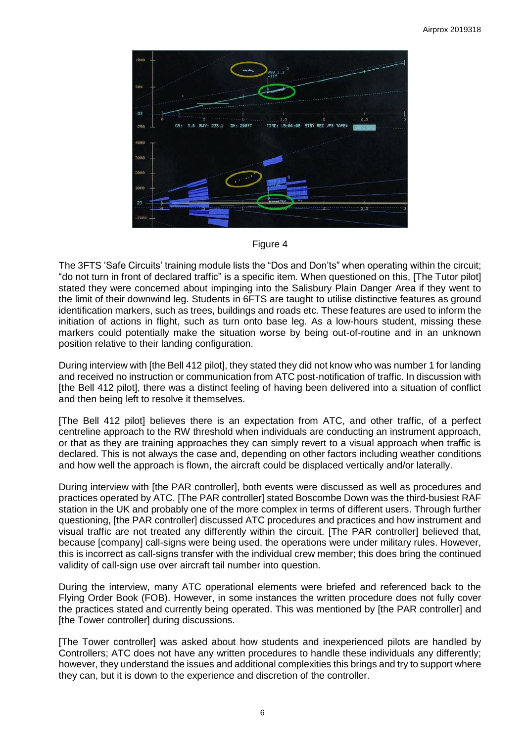

Figure 4

The 3FTS 'Safe Circuits' training module lists the "Dos and Don'ts" when operating within the circuit; "do not turn in front of declared traffic" is a specific item. When questioned on this, [The Tutor pilot] stated they were concerned about impinging into the Salisbury Plain Danger Area if they went to the limit of their downwind leg. Students in 6FTS are taught to utilise distinctive features as ground identification markers, such as trees, buildings and roads etc. These features are used to inform the initiation of actions in flight, such as turn onto base leg. As a low-hours student, missing these markers could potentially make the situation worse by being out-of-routine and in an unknown position relative to their landing configuration.

During interview with [the Bell 412 pilot], they stated they did not know who was number 1 for landing and received no instruction or communication from ATC post-notification of traffic. In discussion with [the Bell 412 pilot], there was a distinct feeling of having been delivered into a situation of conflict and then being left to resolve it themselves.

[The Bell 412 pilot] believes there is an expectation from ATC, and other traffic, of a perfect centreline approach to the RW threshold when individuals are conducting an instrument approach, or that as they are training approaches they can simply revert to a visual approach when traffic is declared. This is not always the case and, depending on other factors including weather conditions and how well the approach is flown, the aircraft could be displaced vertically and/or laterally.

During interview with [the PAR controller], both events were discussed as well as procedures and practices operated by ATC. [The PAR controller] stated Boscombe Down was the third-busiest RAF station in the UK and probably one of the more complex in terms of different users. Through further questioning, [the PAR controller] discussed ATC procedures and practices and how instrument and visual traffic are not treated any differently within the circuit. [The PAR controller] believed that, because [company] call-signs were being used, the operations were under military rules. However, this is incorrect as call-signs transfer with the individual crew member; this does bring the continued validity of call-sign use over aircraft tail number into question.

During the interview, many ATC operational elements were briefed and referenced back to the Flying Order Book (FOB). However, in some instances the written procedure does not fully cover the practices stated and currently being operated. This was mentioned by [the PAR controller] and [the Tower controller] during discussions.

[The Tower controller] was asked about how students and inexperienced pilots are handled by Controllers; ATC does not have any written procedures to handle these individuals any differently; however, they understand the issues and additional complexities this brings and try to support where they can, but it is down to the experience and discretion of the controller.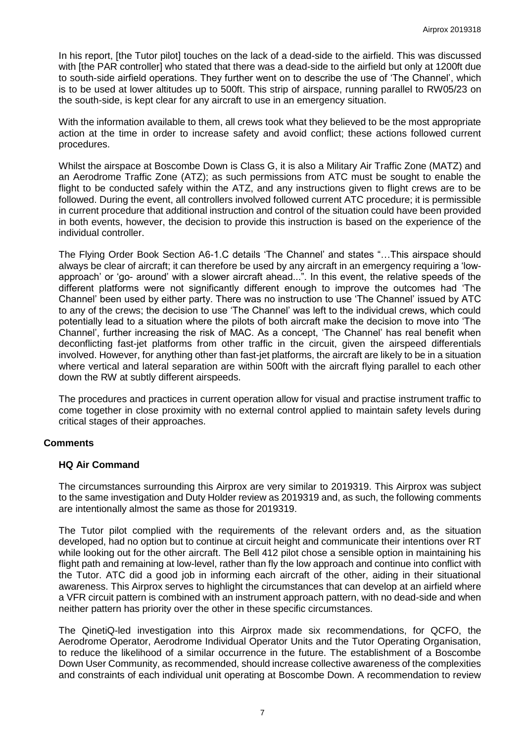In his report, [the Tutor pilot] touches on the lack of a dead-side to the airfield. This was discussed with [the PAR controller] who stated that there was a dead-side to the airfield but only at 1200ft due to south-side airfield operations. They further went on to describe the use of 'The Channel', which is to be used at lower altitudes up to 500ft. This strip of airspace, running parallel to RW05/23 on the south-side, is kept clear for any aircraft to use in an emergency situation.

With the information available to them, all crews took what they believed to be the most appropriate action at the time in order to increase safety and avoid conflict; these actions followed current procedures.

Whilst the airspace at Boscombe Down is Class G, it is also a Military Air Traffic Zone (MATZ) and an Aerodrome Traffic Zone (ATZ); as such permissions from ATC must be sought to enable the flight to be conducted safely within the ATZ, and any instructions given to flight crews are to be followed. During the event, all controllers involved followed current ATC procedure; it is permissible in current procedure that additional instruction and control of the situation could have been provided in both events, however, the decision to provide this instruction is based on the experience of the individual controller.

The Flying Order Book Section A6-1.C details 'The Channel' and states "…This airspace should always be clear of aircraft; it can therefore be used by any aircraft in an emergency requiring a 'lowapproach' or 'go- around' with a slower aircraft ahead...". In this event, the relative speeds of the different platforms were not significantly different enough to improve the outcomes had 'The Channel' been used by either party. There was no instruction to use 'The Channel' issued by ATC to any of the crews; the decision to use 'The Channel' was left to the individual crews, which could potentially lead to a situation where the pilots of both aircraft make the decision to move into 'The Channel', further increasing the risk of MAC. As a concept, 'The Channel' has real benefit when deconflicting fast-jet platforms from other traffic in the circuit, given the airspeed differentials involved. However, for anything other than fast-jet platforms, the aircraft are likely to be in a situation where vertical and lateral separation are within 500ft with the aircraft flying parallel to each other down the RW at subtly different airspeeds.

The procedures and practices in current operation allow for visual and practise instrument traffic to come together in close proximity with no external control applied to maintain safety levels during critical stages of their approaches.

# **Comments**

# **HQ Air Command**

The circumstances surrounding this Airprox are very similar to 2019319. This Airprox was subject to the same investigation and Duty Holder review as 2019319 and, as such, the following comments are intentionally almost the same as those for 2019319.

The Tutor pilot complied with the requirements of the relevant orders and, as the situation developed, had no option but to continue at circuit height and communicate their intentions over RT while looking out for the other aircraft. The Bell 412 pilot chose a sensible option in maintaining his flight path and remaining at low-level, rather than fly the low approach and continue into conflict with the Tutor. ATC did a good job in informing each aircraft of the other, aiding in their situational awareness. This Airprox serves to highlight the circumstances that can develop at an airfield where a VFR circuit pattern is combined with an instrument approach pattern, with no dead-side and when neither pattern has priority over the other in these specific circumstances.

The QinetiQ-led investigation into this Airprox made six recommendations, for QCFO, the Aerodrome Operator, Aerodrome Individual Operator Units and the Tutor Operating Organisation, to reduce the likelihood of a similar occurrence in the future. The establishment of a Boscombe Down User Community, as recommended, should increase collective awareness of the complexities and constraints of each individual unit operating at Boscombe Down. A recommendation to review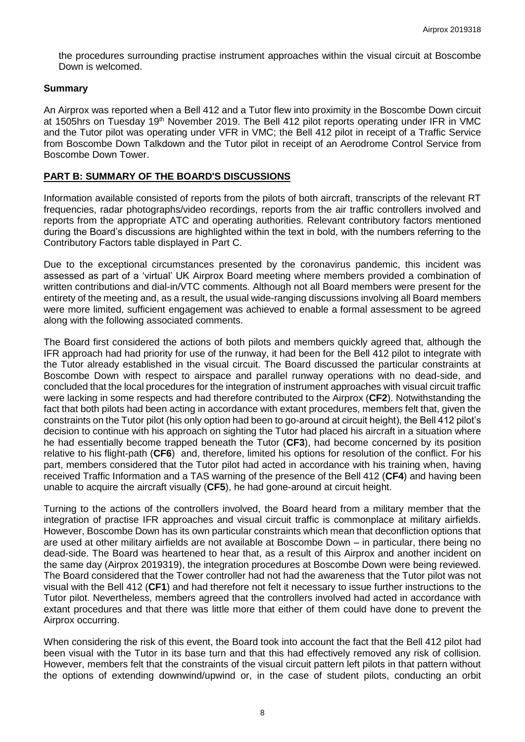the procedures surrounding practise instrument approaches within the visual circuit at Boscombe Down is welcomed.

# **Summary**

An Airprox was reported when a Bell 412 and a Tutor flew into proximity in the Boscombe Down circuit at 1505hrs on Tuesday 19<sup>th</sup> November 2019. The Bell 412 pilot reports operating under IFR in VMC and the Tutor pilot was operating under VFR in VMC; the Bell 412 pilot in receipt of a Traffic Service from Boscombe Down Talkdown and the Tutor pilot in receipt of an Aerodrome Control Service from Boscombe Down Tower.

# **PART B: SUMMARY OF THE BOARD'S DISCUSSIONS**

Information available consisted of reports from the pilots of both aircraft, transcripts of the relevant RT frequencies, radar photographs/video recordings, reports from the air traffic controllers involved and reports from the appropriate ATC and operating authorities. Relevant contributory factors mentioned during the Board's discussions are highlighted within the text in bold, with the numbers referring to the Contributory Factors table displayed in Part C.

Due to the exceptional circumstances presented by the coronavirus pandemic, this incident was assessed as part of a 'virtual' UK Airprox Board meeting where members provided a combination of written contributions and dial-in/VTC comments. Although not all Board members were present for the entirety of the meeting and, as a result, the usual wide-ranging discussions involving all Board members were more limited, sufficient engagement was achieved to enable a formal assessment to be agreed along with the following associated comments.

The Board first considered the actions of both pilots and members quickly agreed that, although the IFR approach had had priority for use of the runway, it had been for the Bell 412 pilot to integrate with the Tutor already established in the visual circuit. The Board discussed the particular constraints at Boscombe Down with respect to airspace and parallel runway operations with no dead-side, and concluded that the local procedures for the integration of instrument approaches with visual circuit traffic were lacking in some respects and had therefore contributed to the Airprox (**CF2**). Notwithstanding the fact that both pilots had been acting in accordance with extant procedures, members felt that, given the constraints on the Tutor pilot (his only option had been to go-around at circuit height), the Bell 412 pilot's decision to continue with his approach on sighting the Tutor had placed his aircraft in a situation where he had essentially become trapped beneath the Tutor (**CF3**), had become concerned by its position relative to his flight-path (**CF6**) and, therefore, limited his options for resolution of the conflict. For his part, members considered that the Tutor pilot had acted in accordance with his training when, having received Traffic Information and a TAS warning of the presence of the Bell 412 (**CF4**) and having been unable to acquire the aircraft visually (**CF5**), he had gone-around at circuit height.

Turning to the actions of the controllers involved, the Board heard from a military member that the integration of practise IFR approaches and visual circuit traffic is commonplace at military airfields. However, Boscombe Down has its own particular constraints which mean that deconfliction options that are used at other military airfields are not available at Boscombe Down – in particular, there being no dead-side. The Board was heartened to hear that, as a result of this Airprox and another incident on the same day (Airprox 2019319), the integration procedures at Boscombe Down were being reviewed. The Board considered that the Tower controller had not had the awareness that the Tutor pilot was not visual with the Bell 412 (**CF1**) and had therefore not felt it necessary to issue further instructions to the Tutor pilot. Nevertheless, members agreed that the controllers involved had acted in accordance with extant procedures and that there was little more that either of them could have done to prevent the Airprox occurring.

When considering the risk of this event, the Board took into account the fact that the Bell 412 pilot had been visual with the Tutor in its base turn and that this had effectively removed any risk of collision. However, members felt that the constraints of the visual circuit pattern left pilots in that pattern without the options of extending downwind/upwind or, in the case of student pilots, conducting an orbit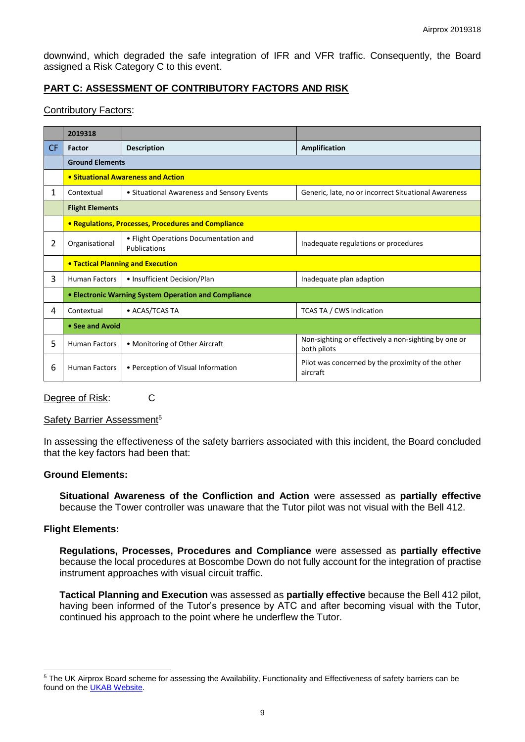downwind, which degraded the safe integration of IFR and VFR traffic. Consequently, the Board assigned a Risk Category C to this event.

# **PART C: ASSESSMENT OF CONTRIBUTORY FACTORS AND RISK**

#### Contributory Factors:

|           | 2019318                                              |                                                       |                                                                     |  |  |  |
|-----------|------------------------------------------------------|-------------------------------------------------------|---------------------------------------------------------------------|--|--|--|
| <b>CF</b> | Factor                                               | <b>Description</b>                                    | Amplification                                                       |  |  |  |
|           | <b>Ground Elements</b>                               |                                                       |                                                                     |  |  |  |
|           | • Situational Awareness and Action                   |                                                       |                                                                     |  |  |  |
| 1         | Contextual                                           | • Situational Awareness and Sensory Events            | Generic, late, no or incorrect Situational Awareness                |  |  |  |
|           | <b>Flight Elements</b>                               |                                                       |                                                                     |  |  |  |
|           | • Regulations, Processes, Procedures and Compliance  |                                                       |                                                                     |  |  |  |
| 2         | Organisational                                       | • Flight Operations Documentation and<br>Publications | Inadequate regulations or procedures                                |  |  |  |
|           | <b>• Tactical Planning and Execution</b>             |                                                       |                                                                     |  |  |  |
| 3         | <b>Human Factors</b>                                 | • Insufficient Decision/Plan                          | Inadequate plan adaption                                            |  |  |  |
|           | • Electronic Warning System Operation and Compliance |                                                       |                                                                     |  |  |  |
| 4         | Contextual                                           | • ACAS/TCAS TA                                        | <b>TCAS TA / CWS indication</b>                                     |  |  |  |
|           | • See and Avoid                                      |                                                       |                                                                     |  |  |  |
| 5         | <b>Human Factors</b>                                 | • Monitoring of Other Aircraft                        | Non-sighting or effectively a non-sighting by one or<br>both pilots |  |  |  |
| 6         | <b>Human Factors</b>                                 | • Perception of Visual Information                    | Pilot was concerned by the proximity of the other<br>aircraft       |  |  |  |

Degree of Risk: C

#### Safety Barrier Assessment<sup>5</sup>

In assessing the effectiveness of the safety barriers associated with this incident, the Board concluded that the key factors had been that:

#### **Ground Elements:**

**Situational Awareness of the Confliction and Action** were assessed as **partially effective** because the Tower controller was unaware that the Tutor pilot was not visual with the Bell 412.

#### **Flight Elements:**

 $\overline{a}$ 

**Regulations, Processes, Procedures and Compliance** were assessed as **partially effective** because the local procedures at Boscombe Down do not fully account for the integration of practise instrument approaches with visual circuit traffic.

**Tactical Planning and Execution** was assessed as **partially effective** because the Bell 412 pilot, having been informed of the Tutor's presence by ATC and after becoming visual with the Tutor, continued his approach to the point where he underflew the Tutor.

<sup>&</sup>lt;sup>5</sup> The UK Airprox Board scheme for assessing the Availability, Functionality and Effectiveness of safety barriers can be found on the [UKAB Website.](http://www.airproxboard.org.uk/Learn-more/Airprox-Barrier-Assessment/)